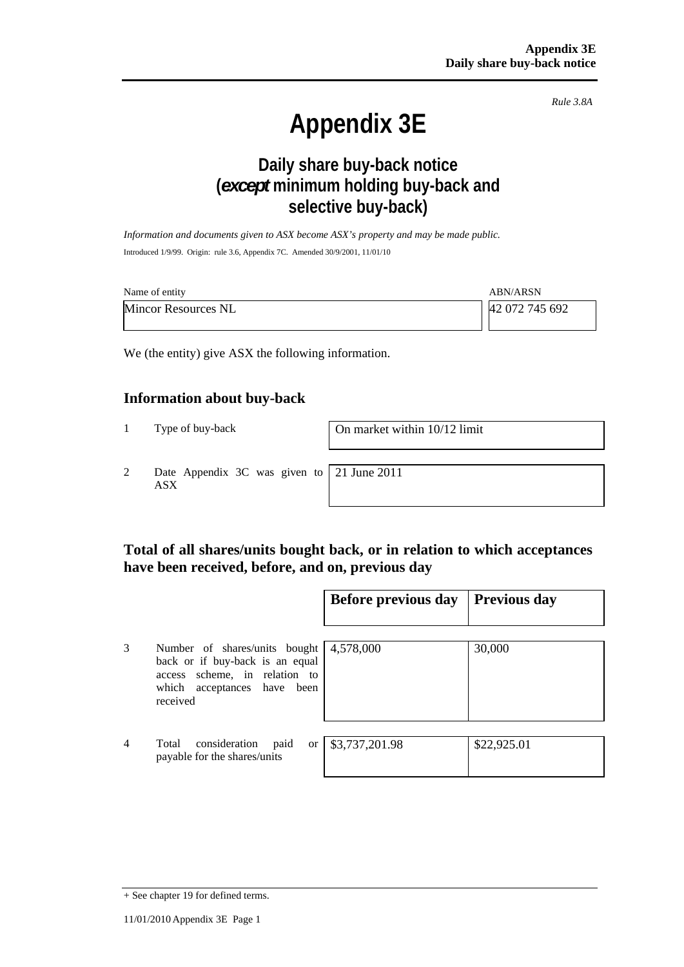*Rule 3.8A*

# **Appendix 3E**

# **Daily share buy-back notice (***except* **minimum holding buy-back and selective buy-back)**

*Information and documents given to ASX become ASX's property and may be made public.*  Introduced 1/9/99. Origin: rule 3.6, Appendix 7C. Amended 30/9/2001, 11/01/10

| Name of entity             | <b>ABN/ARSN</b> |
|----------------------------|-----------------|
| <b>Mincor Resources NL</b> | 42 072 745 692  |

We (the entity) give ASX the following information.

#### **Information about buy-back**

1 Type of buy-back On market within 10/12 limit

2 Date Appendix 3C was given to ASX

21 June 2011

## **Total of all shares/units bought back, or in relation to which acceptances have been received, before, and on, previous day**

|                |                                                                                                                                              | <b>Before previous day</b>   | Previous day |
|----------------|----------------------------------------------------------------------------------------------------------------------------------------------|------------------------------|--------------|
| 3              | Number of shares/units bought<br>back or if buy-back is an equal<br>access scheme, in relation to<br>which acceptances have been<br>received | 4,578,000                    | 30,000       |
| $\overline{4}$ | consideration<br>Total<br>paid<br>payable for the shares/units                                                                               | or $\frac{$3,737,201.98}{ }$ | \$22,925.01  |

<sup>+</sup> See chapter 19 for defined terms.